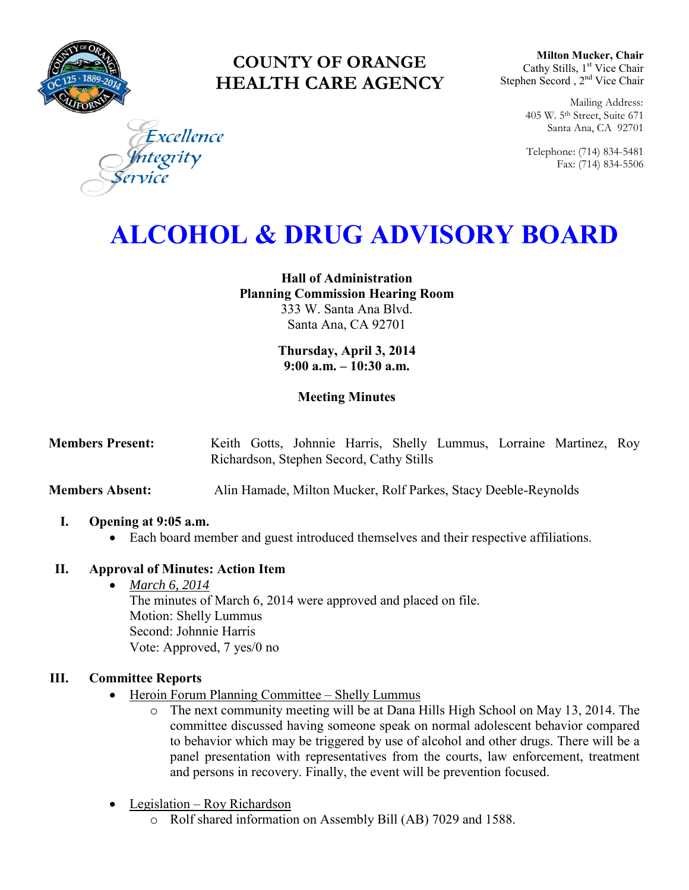

# **COUNTY OF ORANGE HEALTH CARE AGENCY**

**Milton Mucker, Chair** Cathy Stills, 1<sup>st</sup> Vice Chair Stephen Secord, 2<sup>nd</sup> Vice Chair

> Mailing Address: 405 W. 5th Street, Suite 671 Santa Ana, CA 92701

> Telephone: (714) 834-5481 Fax: (714) 834-5506

Excellence grity

# **ALCOHOL & DRUG ADVISORY BOARD**

**Hall of Administration Planning Commission Hearing Room**  333 W. Santa Ana Blvd. Santa Ana, CA 92701

> **Thursday, April 3, 2014 9:00 a.m. – 10:30 a.m.**

# **Meeting Minutes**

| <b>Members Present:</b> |  |                                          |  |  | Keith Gotts, Johnnie Harris, Shelly Lummus, Lorraine Martinez, Roy |  |
|-------------------------|--|------------------------------------------|--|--|--------------------------------------------------------------------|--|
|                         |  | Richardson, Stephen Secord, Cathy Stills |  |  |                                                                    |  |

**Members Absent:** Alin Hamade, Milton Mucker, Rolf Parkes, Stacy Deeble-Reynolds

# **I. Opening at 9:05 a.m.**

Each board member and guest introduced themselves and their respective affiliations.

# **II. Approval of Minutes: Action Item**

 *March 6, 2014* The minutes of March 6, 2014 were approved and placed on file. Motion: Shelly Lummus Second: Johnnie Harris Vote: Approved, 7 yes/0 no

# **III. Committee Reports**

- Heroin Forum Planning Committee Shelly Lummus
	- o The next community meeting will be at Dana Hills High School on May 13, 2014. The committee discussed having someone speak on normal adolescent behavior compared to behavior which may be triggered by use of alcohol and other drugs. There will be a panel presentation with representatives from the courts, law enforcement, treatment and persons in recovery. Finally, the event will be prevention focused.
- Legislation Roy Richardson
	- o Rolf shared information on Assembly Bill (AB) 7029 and 1588.